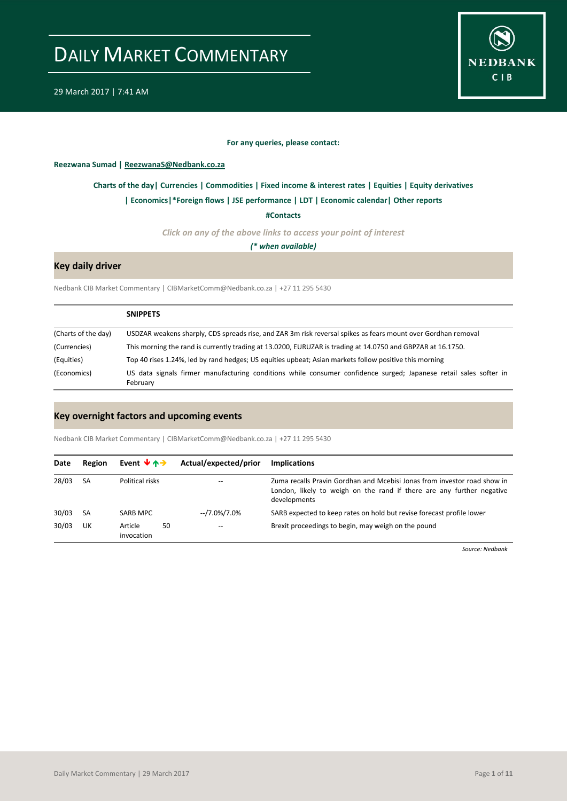

29 March 2017 | 7:41 AM

### **For any queries, please contact:**

<span id="page-0-0"></span>**Reezwana Sumad | ReezwanaS@Nedbank.co.za**

### **[Charts of the day|](#page-1-0) [Currencies](#page-2-0) [| Commodities](#page-3-0) | [Fixed income & interest rates](#page-4-0) [| Equities](#page-5-0) | Equity derivatives**

#### **[| Economics|](#page-6-0)\*Foreign flows | [JSE performance](#page-7-0) | LDT [| Economic calendar|](#page-8-0) Other reports**

**[#Contacts](#page-9-0)**

*Click on any of the above links to access your point of interest*

*(\* when available)*

### **Key daily driver**

Nedbank CIB Market Commentary | CIBMarketComm@Nedbank.co.za | +27 11 295 5430

|                     | <b>SNIPPETS</b>                                                                                                               |
|---------------------|-------------------------------------------------------------------------------------------------------------------------------|
| (Charts of the day) | USDZAR weakens sharply, CDS spreads rise, and ZAR 3m risk reversal spikes as fears mount over Gordhan removal                 |
| (Currencies)        | This morning the rand is currently trading at 13.0200, EURUZAR is trading at 14.0750 and GBPZAR at 16.1750.                   |
| (Equities)          | Top 40 rises 1.24%, led by rand hedges; US equities upbeat; Asian markets follow positive this morning                        |
| (Economics)         | US data signals firmer manufacturing conditions while consumer confidence surged; Japanese retail sales softer in<br>February |

### **Key overnight factors and upcoming events**

Nedbank CIB Market Commentary | CIBMarketComm@Nedbank.co.za | +27 11 295 5430

| Date  | Region    | Event $\forall$ $\land \rightarrow$ |    | Actual/expected/prior | <b>Implications</b>                                                                                                                                               |
|-------|-----------|-------------------------------------|----|-----------------------|-------------------------------------------------------------------------------------------------------------------------------------------------------------------|
| 28/03 | -SA       | Political risks                     |    | --                    | Zuma recalls Pravin Gordhan and Mcebisi Jonas from investor road show in<br>London, likely to weigh on the rand if there are any further negative<br>developments |
| 30/03 | <b>SA</b> | SARB MPC                            |    | --/7.0%/7.0%          | SARB expected to keep rates on hold but revise forecast profile lower                                                                                             |
| 30/03 | UK        | Article<br>invocation               | 50 | --                    | Brexit proceedings to begin, may weigh on the pound                                                                                                               |

*Source: Nedbank*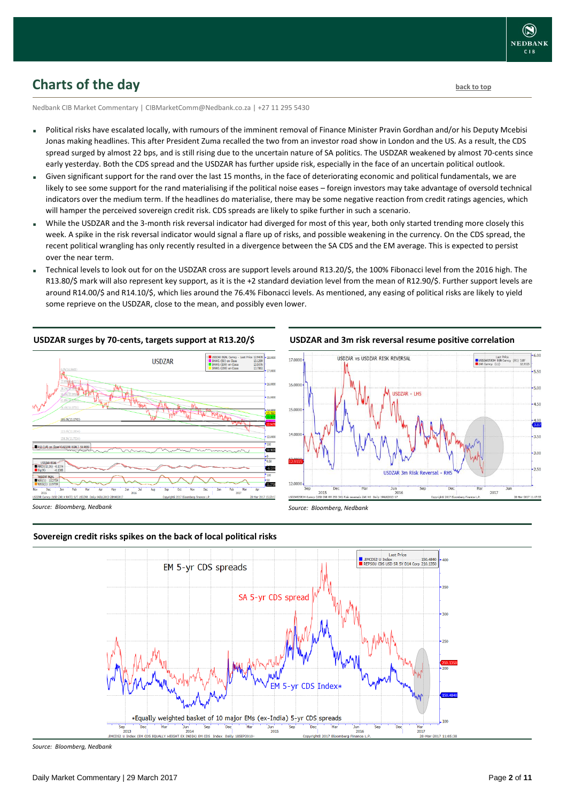### <span id="page-1-0"></span>**Charts of the day** [back to top](#page-0-0) **back to top**

Nedbank CIB Market Commentary | CIBMarketComm@Nedbank.co.za | +27 11 295 5430

- Political risks have escalated locally, with rumours of the imminent removal of Finance Minister Pravin Gordhan and/or his Deputy Mcebisi Jonas making headlines. This after President Zuma recalled the two from an investor road show in London and the US. As a result, the CDS spread surged by almost 22 bps, and is still rising due to the uncertain nature of SA politics. The USDZAR weakened by almost 70-cents since early yesterday. Both the CDS spread and the USDZAR has further upside risk, especially in the face of an uncertain political outlook.
- Given significant support for the rand over the last 15 months, in the face of deteriorating economic and political fundamentals, we are likely to see some support for the rand materialising if the political noise eases – foreign investors may take advantage of oversold technical indicators over the medium term. If the headlines do materialise, there may be some negative reaction from credit ratings agencies, which will hamper the perceived sovereign credit risk. CDS spreads are likely to spike further in such a scenario.
- While the USDZAR and the 3-month risk reversal indicator had diverged for most of this year, both only started trending more closely this week. A spike in the risk reversal indicator would signal a flare up of risks, and possible weakening in the currency. On the CDS spread, the recent political wrangling has only recently resulted in a divergence between the SA CDS and the EM average. This is expected to persist over the near term.
- Technical levels to look out for on the USDZAR cross are support levels around R13.20/\$, the 100% Fibonacci level from the 2016 high. The R13.80/\$ mark will also represent key support, as it is the +2 standard deviation level from the mean of R12.90/\$. Further support levels are around R14.00/\$ and R14.10/\$, which lies around the 76.4% Fibonacci levels. As mentioned, any easing of political risks are likely to yield some reprieve on the USDZAR, close to the mean, and possibly even lower.

#### **USDZAR surges by 70-cents, targets support at R13.20/\$**







*Source: Bloomberg, Nedbank*

### **Sovereign credit risks spikes on the back of local political risks**



*Source: Bloomberg, Nedbank*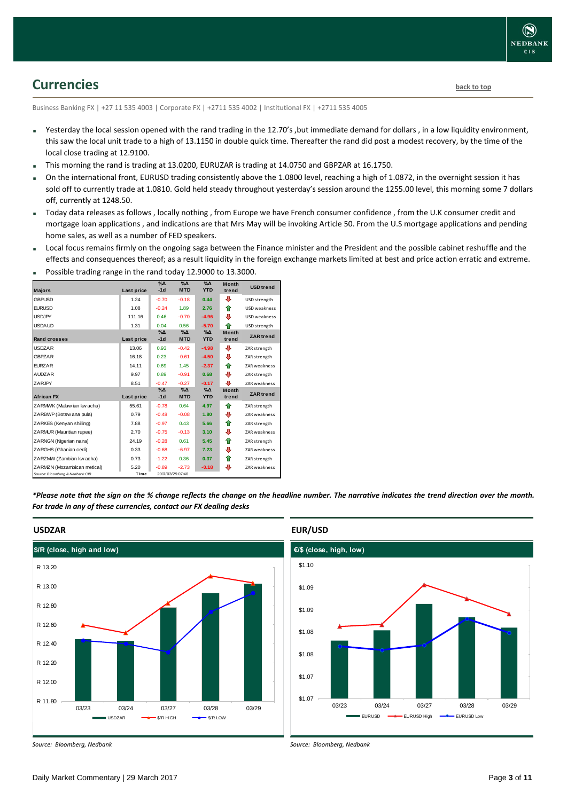### <span id="page-2-0"></span>**Currencies [back to top](#page-0-0)**

Business Banking FX | +27 11 535 4003 | Corporate FX | +2711 535 4002 | Institutional FX | +2711 535 4005

- Yesterday the local session opened with the rand trading in the 12.70's ,but immediate demand for dollars , in a low liquidity environment, this saw the local unit trade to a high of 13.1150 in double quick time. Thereafter the rand did post a modest recovery, by the time of the local close trading at 12.9100.
- This morning the rand is trading at 13.0200, EURUZAR is trading at 14.0750 and GBPZAR at 16.1750.
- On the international front, EURUSD trading consistently above the 1.0800 level, reaching a high of 1.0872, in the overnight session it has sold off to currently trade at 1.0810. Gold held steady throughout yesterday's session around the 1255.00 level, this morning some 7 dollars off, currently at 1248.50.
- Today data releases as follows , locally nothing , from Europe we have French consumer confidence , from the U.K consumer credit and mortgage loan applications , and indications are that Mrs May will be invoking Article 50. From the U.S mortgage applications and pending home sales, as well as a number of FED speakers.
- Local focus remains firmly on the ongoing saga between the Finance minister and the President and the possible cabinet reshuffle and the effects and consequences thereof; as a result liquidity in the foreign exchange markets limited at best and price action erratic and extreme.

|                                 |            | $\overline{\%}\Delta$  | $\Delta_0$                  | %∆                          | <b>Month</b>          |                     |
|---------------------------------|------------|------------------------|-----------------------------|-----------------------------|-----------------------|---------------------|
| <b>Majors</b>                   | Last price | $-1d$                  | <b>MTD</b>                  | <b>YTD</b>                  | trend                 | <b>USD trend</b>    |
| <b>GBPUSD</b>                   | 1.24       | $-0.70$                | $-0.18$                     | 0.44                        | ⊕                     | USD strength        |
| <b>EURUSD</b>                   | 1.08       | $-0.24$                | 1.89                        | 2.76                        | ⇑                     | USD weakness        |
| <b>USDJPY</b>                   | 111.16     | 0.46                   | $-0.70$                     | $-4.96$                     | ⊕                     | <b>USD</b> weakness |
| <b>USDAUD</b>                   | 1.31       | 0.04                   | 0.56                        | $-5.70$                     | ♠                     | USD strength        |
| Rand crosses                    | Last price | $\%$ $\Delta$<br>$-1d$ | $\%$ $\Delta$<br><b>MTD</b> | $\%$ $\Delta$<br><b>YTD</b> | <b>Month</b><br>trend | <b>ZAR</b> trend    |
| <b>USDZAR</b>                   | 13.06      | 0.93                   | $-0.42$                     | $-4.98$                     | ⊕                     | ZAR strength        |
| <b>GBPZAR</b>                   | 16.18      | 0.23                   | $-0.61$                     | $-4.50$                     | ⊕                     | ZAR strength        |
| <b>FURZAR</b>                   | 14.11      | 0.69                   | 1.45                        | $-2.37$                     | ⇑                     | <b>ZAR weakness</b> |
| <b>AUDZAR</b>                   | 9.97       | 0.89                   | $-0.91$                     | 0.68                        | ⊕                     | ZAR strength        |
| ZARJPY                          | 8.51       | $-0.47$                | $-0.27$                     | $-0.17$                     | ⊕                     | ZAR weakness        |
| <b>African FX</b>               | Last price | $\%$ $\Delta$<br>$-1d$ | $\%$ $\Delta$<br><b>MTD</b> | $\%$ $\Delta$<br><b>YTD</b> | Month<br>trend        | <b>ZAR</b> trend    |
| ZARMWK (Malaw ian kw acha)      | 55.61      | $-0.78$                | 0.64                        | 4.97                        | ♠                     | ZAR strength        |
| ZARBWP (Botsw ana pula)         | 0.79       | $-0.48$                | $-0.08$                     | 1.80                        | ⊕                     | <b>ZAR weakness</b> |
| ZARKES (Kenyan shilling)        | 7.88       | $-0.97$                | 0.43                        | 5.66                        | ⇑                     | ZAR strength        |
| ZARMUR (Mauritian rupee)        | 2.70       | $-0.75$                | $-0.13$                     | 3.10                        | ⊕                     | <b>ZAR weakness</b> |
| ZARNGN (Nigerian naira)         | 24.19      | $-0.28$                | 0.61                        | 5.45                        | ⇑                     | ZAR strength        |
| ZARGHS (Ghanian cedi)           | 0.33       | $-0.68$                | $-6.97$                     | 7.23                        | ⊕                     | <b>ZAR weakness</b> |
| ZARZMW (Zambian kw acha)        | 0.73       | $-1.22$                | 0.36                        | 0.37                        | ⇑                     | ZAR strength        |
| ZARMZN (Mozambican metical)     | 5.20       | $-0.89$                | $-2.73$                     | $-0.18$                     | ⊕                     | ZAR weakness        |
| Source: Bloomberg & Nedbank CIB | Time       |                        | 2017/03/29 07:40            |                             |                       |                     |

Possible trading range in the rand today 12.9000 to 13.3000.

*\*Please note that the sign on the % change reflects the change on the headline number. The narrative indicates the trend direction over the month. For trade in any of these currencies, contact our FX dealing desks*



*Source: Bloomberg, Nedbank*



*Source: Bloomberg, Nedbank*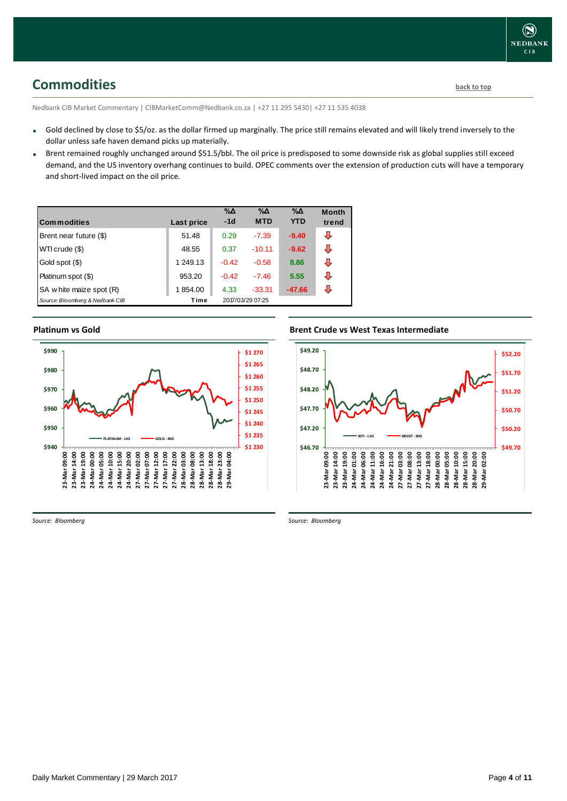### <span id="page-3-0"></span>**Commodities [back to top](#page-0-0)**

Nedbank CIB Market Commentary | CIBMarketComm@Nedbank.co.za | +27 11 295 5430| +27 11 535 4038

- Gold declined by close to \$5/oz. as the dollar firmed up marginally. The price still remains elevated and will likely trend inversely to the dollar unless safe haven demand picks up materially.
- Brent remained roughly unchanged around \$51.5/bbl. The oil price is predisposed to some downside risk as global supplies still exceed demand, and the US inventory overhang continues to build. OPEC comments over the extension of production cuts will have a temporary and short-lived impact on the oil price.

| l Commodities                   | Last price | %Δ<br>$-1d$ | %Δ<br><b>MTD</b> | %Δ<br><b>YTD</b> | <b>Month</b><br>trend |
|---------------------------------|------------|-------------|------------------|------------------|-----------------------|
| Brent near future (\$)          | 51.48      | 0.29        | $-7.39$          | $-9.40$          | ⊕                     |
| WTI crude (\$)                  | 48.55      | 0.37        | $-10.11$         | $-9.62$          | J                     |
| Gold spot (\$)                  | 1 249.13   | $-0.42$     | $-0.58$          | 8.86             | л                     |
| Platinum spot (\$)              | 953.20     | $-0.42$     | $-7.46$          | 5.55             |                       |
| SA w hite maize spot (R)        | 1854.00    | 4.33        | $-33.31$         | $-47.66$         |                       |
| Source: Bloomberg & Nedbank CIB | Time       |             | 2017/03/29 07:25 |                  |                       |

### **Platinum vs Gold**



**Brent Crude vs West Texas Intermediate**



*Source: Bloomberg*

*Source: Bloomberg*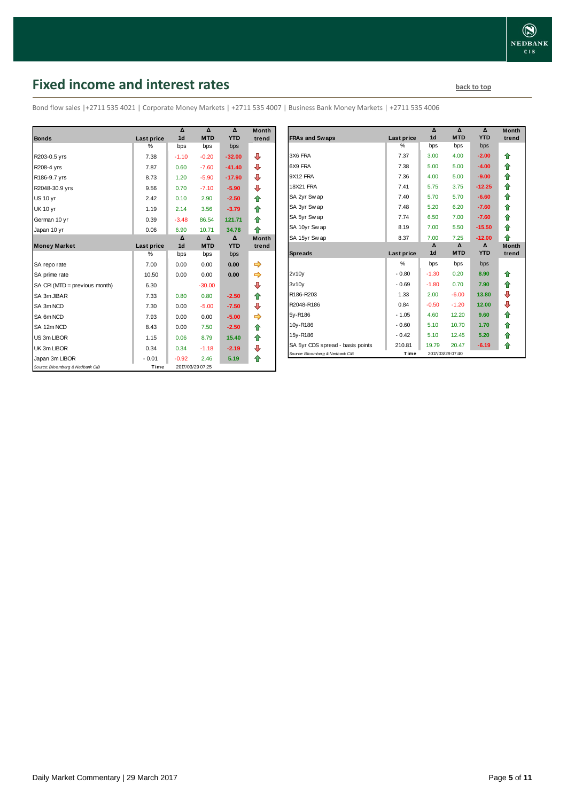### <span id="page-4-0"></span>**Fixed income and interest rates back to the line of the set of the set of the set of the set of the set of the set of the set of the set of the set of the set of the set of the set of the set of the set of the set of th**

Bond flow sales |+2711 535 4021 | Corporate Money Markets | +2711 535 4007 | Business Bank Money Markets | +2711 535 4006

|                                 |                   | Δ              | Δ                | Δ          | <b>Month</b> |
|---------------------------------|-------------------|----------------|------------------|------------|--------------|
| <b>Bonds</b>                    | <b>Last price</b> | 1 <sub>d</sub> | <b>MTD</b>       | <b>YTD</b> | trend        |
|                                 | %                 | bps            | bps              | bps        |              |
| R203-0.5 yrs                    | 7.38              | $-1.10$        | $-0.20$          | $-32.00$   | ⊕            |
| R208-4 yrs                      | 7.87              | 0.60           | $-7.60$          | $-41.40$   | ⊕            |
| R186-9.7 yrs                    | 8.73              | 1.20           | $-5.90$          | $-17.90$   | ⇩            |
| R2048-30.9 yrs                  | 9.56              | 0.70           | $-7.10$          | $-5.90$    | ₽            |
| <b>US 10 yr</b>                 | 2.42              | 0.10           | 2.90             | $-2.50$    | 合            |
| <b>UK 10 yr</b>                 | 1.19              | 2.14           | 3.56             | $-3.79$    | ⇑            |
| German 10 yr                    | 0.39              | $-3.48$        | 86.54            | 121.71     | ♠            |
| Japan 10 yr                     | 0.06              | 6.90           | 10.71            | 34.78      | 全            |
|                                 |                   | Δ              | Δ                | Δ          | <b>Month</b> |
| <b>Money Market</b>             | Last price        | 1 <sub>d</sub> | <b>MTD</b>       | <b>YTD</b> | trend        |
|                                 | $\%$              | bps            | bps              | bps        |              |
| SA repo rate                    | 7.00              | 0.00           | 0.00             | 0.00       |              |
| SA prime rate                   | 10.50             | 0.00           | 0.00             | 0.00       | ⇛            |
| SA CPI (MTD = previous month)   | 6.30              |                | $-30.00$         |            | ₽            |
| SA 3m JIBAR                     | 7.33              | 0.80           | 0.80             | $-2.50$    | ⇑            |
| SA 3m NCD                       | 7.30              | 0.00           | $-5.00$          | $-7.50$    | ⊕            |
| SA 6m NCD                       | 7.93              | 0.00           | 0.00             | $-5.00$    |              |
| SA 12m NCD                      | 8.43              | 0.00           | 7.50             | $-2.50$    | ⇑            |
| US 3m LIBOR                     | 1.15              | 0.06           | 8.79             | 15.40      | 合            |
| UK 3m LIBOR                     | 0.34              | 0.34           | $-1.18$          | $-2.19$    | ⊕            |
| Japan 3m LIBOR                  | $-0.01$           | $-0.92$        | 2.46             | 5.19       | ♠            |
| Source: Bloomberg & Nedbank CIB | Time              |                | 2017/03/29 07:25 |            |              |

|                                  |            | Δ              | Δ                | Δ          | <b>Month</b> |
|----------------------------------|------------|----------------|------------------|------------|--------------|
| <b>FRAs and Swaps</b>            | Last price | 1 <sub>d</sub> | <b>MTD</b>       | <b>YTD</b> | trend        |
|                                  | %          | bps            | bps              | bps        |              |
| 3X6 FRA                          | 7.37       | 3.00           | 4.00             | $-2.00$    | ⇑            |
| 6X9 FRA                          | 7.38       | 5.00           | 5.00             | $-4.00$    | ✿            |
| 9X12 FRA                         | 7.36       | 4.00           | 5.00             | $-9.00$    | ⇑            |
| <b>18X21 FRA</b>                 | 7.41       | 5.75           | 3.75             | $-12.25$   | ⇑            |
| SA 2yr Swap                      | 7.40       | 5.70           | 5.70             | $-6.60$    | ⇮            |
| SA 3yr Swap                      | 7.48       | 5.20           | 6.20             | $-7.60$    | ⇑            |
| SA 5yr Swap                      | 7.74       | 6.50           | 7.00             | $-7.60$    | ⇑            |
| SA 10yr Swap                     | 8.19       | 7.00           | 5.50             | $-15.50$   | ⇑            |
| SA 15yr Swap                     | 8.37       | 7.00           | 7.25             | $-12.00$   | ♠            |
|                                  |            | Δ              | Δ                | Δ          | <b>Month</b> |
| <b>Spreads</b>                   | Last price | 1 <sub>d</sub> | <b>MTD</b>       | <b>YTD</b> | trend        |
|                                  | %          | bps            | bps              | bps        |              |
| 2v10v                            | $-0.80$    | $-1.30$        | 0.20             | 8.90       | ⇑            |
| 3v10v                            | $-0.69$    | $-1.80$        | 0.70             | 7.90       | ⇮            |
| R186-R203                        | 1.33       | 2.00           | $-6.00$          | 13.80      | ⊕            |
| R2048-R186                       | 0.84       | $-0.50$        | $-1.20$          | 12.00      | ⊕            |
| 5y-R186                          | $-1.05$    | 4.60           | 12.20            | 9.60       | ⇮            |
| 10y-R186                         | $-0.60$    | 5.10           | 10.70            | 1.70       | ⇑            |
| 15y-R186                         | $-0.42$    | 5.10           | 12.45            | 5.20       | ⇮            |
| SA 5yr CDS spread - basis points | 210.81     | 19.79          | 20.47            | $-6.19$    | ♠            |
| Source: Bloomberg & Nedbank CIB  | Time       |                | 2017/03/29 07:40 |            |              |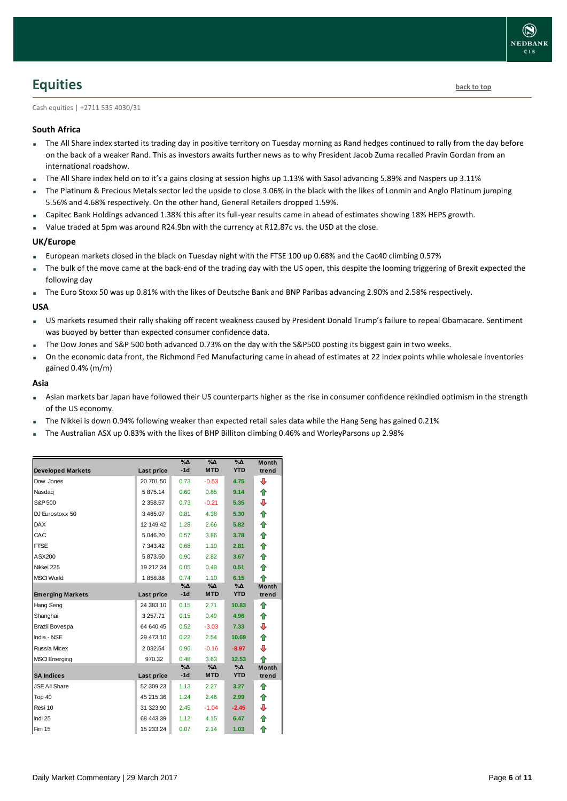### <span id="page-5-0"></span>**Equities [back to top](#page-0-0)**

Cash equities | +2711 535 4030/31

### **South Africa**

- The All Share index started its trading day in positive territory on Tuesday morning as Rand hedges continued to rally from the day before on the back of a weaker Rand. This as investors awaits further news as to why President Jacob Zuma recalled Pravin Gordan from an international roadshow.
- The All Share index held on to it's a gains closing at session highs up 1.13% with Sasol advancing 5.89% and Naspers up 3.11%
- The Platinum & Precious Metals sector led the upside to close 3.06% in the black with the likes of Lonmin and Anglo Platinum jumping 5.56% and 4.68% respectively. On the other hand, General Retailers dropped 1.59%.
- Capitec Bank Holdings advanced 1.38% this after its full-year results came in ahead of estimates showing 18% HEPS growth.
- Value traded at 5pm was around R24.9bn with the currency at R12.87c vs. the USD at the close.

### **UK/Europe**

- European markets closed in the black on Tuesday night with the FTSE 100 up 0.68% and the Cac40 climbing 0.57%
- The bulk of the move came at the back-end of the trading day with the US open, this despite the looming triggering of Brexit expected the following day
- The Euro Stoxx 50 was up 0.81% with the likes of Deutsche Bank and BNP Paribas advancing 2.90% and 2.58% respectively.

### **USA**

- US markets resumed their rally shaking off recent weakness caused by President Donald Trump's failure to repeal Obamacare. Sentiment was buoyed by better than expected consumer confidence data.
- The Dow Jones and S&P 500 both advanced 0.73% on the day with the S&P500 posting its biggest gain in two weeks.
- On the economic data front, the Richmond Fed Manufacturing came in ahead of estimates at 22 index points while wholesale inventories gained 0.4% (m/m)

#### **Asia**

- Asian markets bar Japan have followed their US counterparts higher as the rise in consumer confidence rekindled optimism in the strength of the US economy.
- The Nikkei is down 0.94% following weaker than expected retail sales data while the Hang Seng has gained 0.21%
- The Australian ASX up 0.83% with the likes of BHP Billiton climbing 0.46% and WorleyParsons up 2.98%

|                          |               | $\%$ $\Delta$ | $\%$ $\Delta$    | $\%$ $\Delta$               | <b>Month</b>          |
|--------------------------|---------------|---------------|------------------|-----------------------------|-----------------------|
| <b>Developed Markets</b> | Last price    | $-1d$         | <b>MTD</b>       | <b>YTD</b>                  | trend                 |
| Dow Jones                | 20 701.50     | 0.73          | $-0.53$          | 4.75                        | ⊕                     |
| Nasdaq                   | 5 875.14      | 0.60          | 0.85             | 9.14                        | ⇮                     |
| S&P 500                  | 2 3 5 8.5 7   | 0.73          | $-0.21$          | 5.35                        | ⊕                     |
| DJ Eurostoxx 50          | 3 4 6 5 . 0 7 | 0.81          | 4.38             | 5.30                        | ♠                     |
| <b>DAX</b>               | 12 149.42     | 1.28          | 2.66             | 5.82                        | ♠                     |
| CAC                      | 5 046.20      | 0.57          | 3.86             | 3.78                        | ⇮                     |
| <b>FTSE</b>              | 7 343.42      | 0.68          | 1.10             | 2.81                        | ♠                     |
| ASX200                   | 5873.50       | 0.90          | 2.82             | 3.67                        | ♠                     |
| Nikkei 225               | 19 212.34     | 0.05          | 0.49             | 0.51                        | ♠                     |
| <b>MSCI World</b>        | 1858.88       | 0.74          | 1.10             | 6.15                        | ♠                     |
| <b>Emerging Markets</b>  | Last price    | %Δ<br>$-1d$   | %Δ<br><b>MTD</b> | $\%$ $\Delta$<br><b>YTD</b> | <b>Month</b><br>trend |
| Hang Seng                | 24 383.10     | 0.15          | 2.71             | 10.83                       | ⇑                     |
| Shanghai                 | 3 257.71      | 0.15          | 0.49             | 4.96                        | ⇑                     |
| <b>Brazil Bovespa</b>    | 64 640.45     | 0.52          | $-3.03$          | 7.33                        | ⊕                     |
| India - NSE              | 29 473.10     | 0.22          | 2.54             | 10.69                       | ♠                     |
| <b>Russia Micex</b>      | 2 0 3 2.54    | 0.96          | $-0.16$          | $-8.97$                     | ⊕                     |
| <b>MSCI</b> Emerging     | 970.32        | 0.48          | 3.63             | 12.53                       | ♠                     |
|                          |               | $\%$ $\Delta$ | $\%$ $\Delta$    | $\%$ $\Delta$               | <b>Month</b>          |
| <b>SA Indices</b>        | Last price    | $-1d$         | <b>MTD</b>       | <b>YTD</b>                  | trend                 |
| <b>JSE All Share</b>     | 52 309.23     | 1.13          | 2.27             | 3.27                        | ⇑                     |
| Top 40                   | 45 215.36     | 1.24          | 2.46             | 2.99                        | ♠                     |
| Resi 10                  | 31 323.90     | 2.45          | $-1.04$          | $-2.45$                     | ⊕                     |
| Indi 25                  | 68 443.39     | 1.12          | 4.15             | 6.47                        | ⇑                     |
| Fini 15                  | 15 233.24     | 0.07          | 2.14             | 1.03                        | ⇑                     |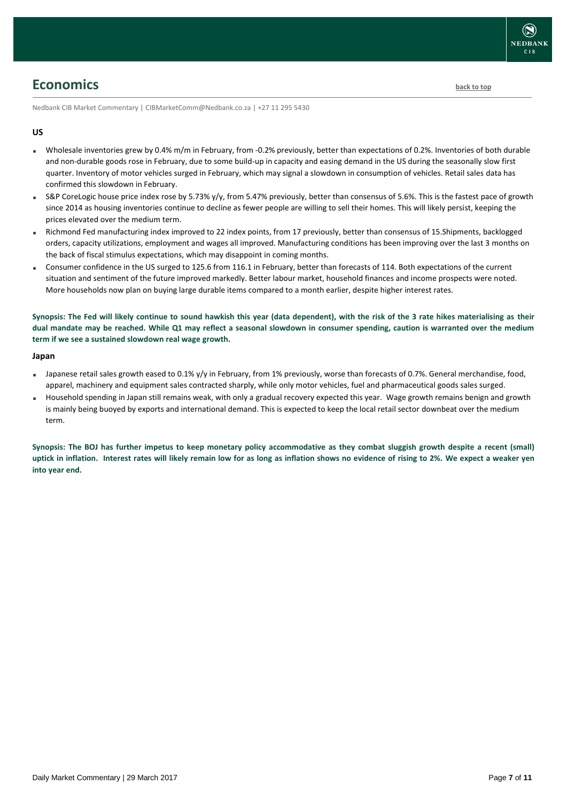

### <span id="page-6-0"></span>**Economics [back to top](#page-0-0)**

Nedbank CIB Market Commentary | CIBMarketComm@Nedbank.co.za | +27 11 295 5430

#### **US**

- Wholesale inventories grew by 0.4% m/m in February, from -0.2% previously, better than expectations of 0.2%. Inventories of both durable and non-durable goods rose in February, due to some build-up in capacity and easing demand in the US during the seasonally slow first quarter. Inventory of motor vehicles surged in February, which may signal a slowdown in consumption of vehicles. Retail sales data has confirmed this slowdown in February.
- S&P CoreLogic house price index rose by 5.73% y/y, from 5.47% previously, better than consensus of 5.6%. This is the fastest pace of growth since 2014 as housing inventories continue to decline as fewer people are willing to sell their homes. This will likely persist, keeping the prices elevated over the medium term.
- Richmond Fed manufacturing index improved to 22 index points, from 17 previously, better than consensus of 15.Shipments, backlogged orders, capacity utilizations, employment and wages all improved. Manufacturing conditions has been improving over the last 3 months on the back of fiscal stimulus expectations, which may disappoint in coming months.
- Consumer confidence in the US surged to 125.6 from 116.1 in February, better than forecasts of 114. Both expectations of the current situation and sentiment of the future improved markedly. Better labour market, household finances and income prospects were noted. More households now plan on buying large durable items compared to a month earlier, despite higher interest rates.

**Synopsis: The Fed will likely continue to sound hawkish this year (data dependent), with the risk of the 3 rate hikes materialising as their dual mandate may be reached. While Q1 may reflect a seasonal slowdown in consumer spending, caution is warranted over the medium term if we see a sustained slowdown real wage growth.**

#### **Japan**

- Japanese retail sales growth eased to 0.1% y/y in February, from 1% previously, worse than forecasts of 0.7%. General merchandise, food, apparel, machinery and equipment sales contracted sharply, while only motor vehicles, fuel and pharmaceutical goods sales surged.
- Household spending in Japan still remains weak, with only a gradual recovery expected this year. Wage growth remains benign and growth is mainly being buoyed by exports and international demand. This is expected to keep the local retail sector downbeat over the medium term.

**Synopsis: The BOJ has further impetus to keep monetary policy accommodative as they combat sluggish growth despite a recent (small) uptick in inflation. Interest rates will likely remain low for as long as inflation shows no evidence of rising to 2%. We expect a weaker yen into year end.**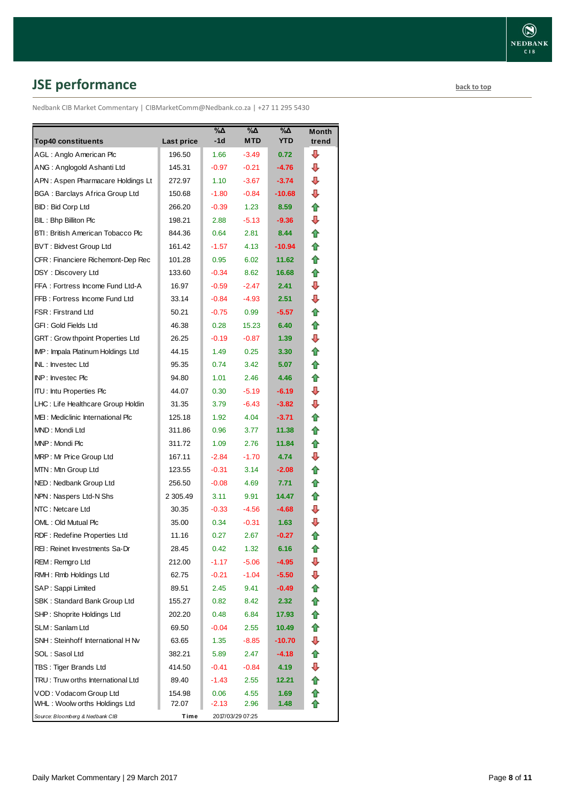# <span id="page-7-0"></span>**JSE performance [back to top](#page-0-0)**

Nedbank CIB Market Commentary | CIBMarketComm@Nedbank.co.za | +27 11 295 5430

|                                       |            | %Δ      | %Δ               | $\overline{\mathsf{A}}$ | <b>Month</b> |
|---------------------------------------|------------|---------|------------------|-------------------------|--------------|
| <b>Top40 constituents</b>             | Last price | -1d     | <b>MTD</b>       | <b>YTD</b>              | trend        |
| AGL: Anglo American Plc               | 196.50     | 1.66    | $-3.49$          | 0.72                    | ⊕            |
| ANG: Anglogold Ashanti Ltd            | 145.31     | $-0.97$ | $-0.21$          | $-4.76$                 | ⊕            |
| APN: Aspen Pharmacare Holdings Lt     | 272.97     | 1.10    | $-3.67$          | $-3.74$                 | ⊕            |
| <b>BGA: Barclays Africa Group Ltd</b> | 150.68     | $-1.80$ | $-0.84$          | $-10.68$                | ⊕            |
| BID: Bid Corp Ltd                     | 266.20     | $-0.39$ | 1.23             | 8.59                    | ⇑            |
| BIL: Bhp Billiton Plc                 | 198.21     | 2.88    | $-5.13$          | $-9.36$                 | ⊕            |
| BTI: British American Tobacco Plc     | 844.36     | 0.64    | 2.81             | 8.44                    | ⇑            |
| BVT: Bidvest Group Ltd                | 161.42     | $-1.57$ | 4.13             | $-10.94$                | ⇑            |
| CFR : Financiere Richemont-Dep Rec    | 101.28     | 0.95    | 6.02             | 11.62                   | ⇑            |
| DSY: Discovery Ltd                    | 133.60     | $-0.34$ | 8.62             | 16.68                   | ⇑            |
| FFA: Fortress Income Fund Ltd-A       | 16.97      | $-0.59$ | $-2.47$          | 2.41                    | J            |
| FFB: Fortress Income Fund Ltd         | 33.14      | $-0.84$ | $-4.93$          | 2.51                    | ⊕            |
| <b>FSR: Firstrand Ltd</b>             | 50.21      | $-0.75$ | 0.99             | $-5.57$                 | ⇑            |
| GFI: Gold Fields Ltd                  | 46.38      | 0.28    | 15.23            | 6.40                    | ⇑            |
| GRT : Grow thpoint Properties Ltd     | 26.25      | $-0.19$ | $-0.87$          | 1.39                    | ⊕            |
| IMP: Impala Platinum Holdings Ltd     | 44.15      | 1.49    | 0.25             | 3.30                    |              |
| INL: Investec Ltd                     | 95.35      | 0.74    | 3.42             | 5.07                    | ⇑            |
| <b>INP:</b> Invested Plc              | 94.80      | 1.01    | 2.46             | 4.46                    | ⇑            |
| <b>ITU: Intu Properties Plc</b>       | 44.07      | 0.30    | $-5.19$          | $-6.19$                 | ⊕            |
| LHC: Life Healthcare Group Holdin     | 31.35      | 3.79    | $-6.43$          | $-3.82$                 | ⊕            |
| MEI: Mediclinic International Plc     | 125.18     | 1.92    | 4.04             | $-3.71$                 | ⇑            |
| MND: Mondi Ltd                        | 311.86     | 0.96    | 3.77             | 11.38                   | ⇑            |
| MNP: Mondi Plc                        | 311.72     | 1.09    | 2.76             | 11.84                   | ⇑            |
| MRP: Mr Price Group Ltd               | 167.11     | $-2.84$ | $-1.70$          | 4.74                    | J            |
| MTN: Mtn Group Ltd                    | 123.55     | $-0.31$ | 3.14             | $-2.08$                 | ⇑            |
| NED: Nedbank Group Ltd                | 256.50     | $-0.08$ | 4.69             | 7.71                    | ⇑            |
| NPN: Naspers Ltd-N Shs                | 2 305.49   | 3.11    | 9.91             | 14.47                   | ⇑            |
| NTC: Netcare Ltd                      | 30.35      | $-0.33$ | $-4.56$          | -4.68                   | J            |
| OML: Old Mutual Plc                   | 35.00      | 0.34    | $-0.31$          | 1.63                    | J            |
| RDF: Redefine Properties Ltd          | 11.16      | 0.27    | 2.67             | $-0.27$                 | ⇑            |
| REI: Reinet Investments Sa-Dr         | 28.45      | 0.42    | 1.32             | 6.16                    | t            |
| REM: Remgro Ltd                       | 212.00     | $-1.17$ | $-5.06$          | $-4.95$                 | ⇩            |
| RMH: Rmb Holdings Ltd                 | 62.75      | $-0.21$ | $-1.04$          | $-5.50$                 | ⇩            |
| SAP: Sappi Limited                    | 89.51      | 2.45    | 9.41             | $-0.49$                 | ⇮            |
| SBK: Standard Bank Group Ltd          | 155.27     | 0.82    | 8.42             | 2.32                    | ⇑            |
| SHP: Shoprite Holdings Ltd            | 202.20     | 0.48    | 6.84             | 17.93                   | ⇮            |
| SLM: Sanlam Ltd                       | 69.50      | $-0.04$ | 2.55             | 10.49                   | ⇮            |
| SNH: Steinhoff International H Nv     | 63.65      | 1.35    | $-8.85$          | $-10.70$                | ⊕            |
| SOL: Sasol Ltd                        | 382.21     | 5.89    | 2.47             | $-4.18$                 | ⇑            |
| TBS : Tiger Brands Ltd                | 414.50     | $-0.41$ | $-0.84$          | 4.19                    | ⇩            |
| TRU: Truw orths International Ltd     | 89.40      | $-1.43$ | 2.55             | 12.21                   | ⇮            |
| VOD: Vodacom Group Ltd                | 154.98     | 0.06    | 4.55             | 1.69                    | ⇑            |
| WHL: Woolw orths Holdings Ltd         | 72.07      | $-2.13$ | 2.96             | 1.48                    | ⇑            |
| Source: Bloomberg & Nedbank CIB       | Time       |         | 2017/03/29 07:25 |                         |              |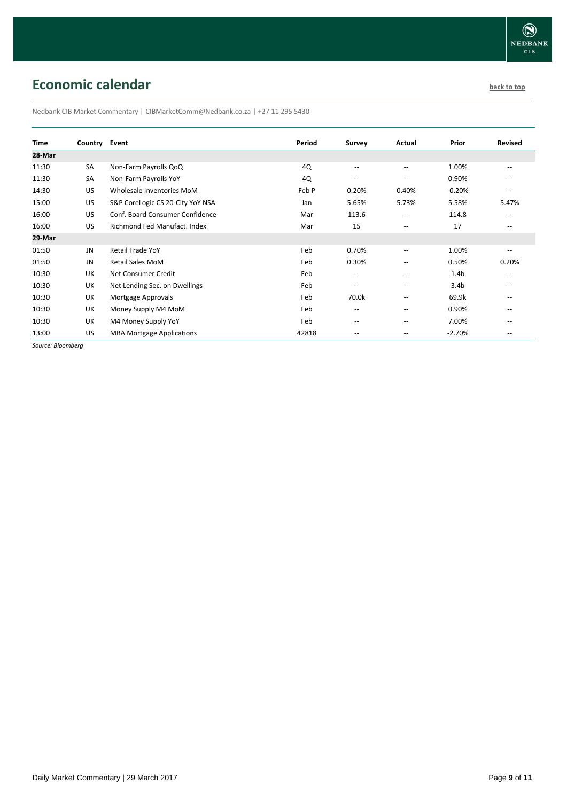## <span id="page-8-0"></span>**Economic calendar [back to top](#page-0-0) back to top**

Nedbank CIB Market Commentary | CIBMarketComm@Nedbank.co.za | +27 11 295 5430

| Time   | Country Event |                                  | Period | <b>Survey</b>                         | Actual                   | Prior            | Revised                  |
|--------|---------------|----------------------------------|--------|---------------------------------------|--------------------------|------------------|--------------------------|
| 28-Mar |               |                                  |        |                                       |                          |                  |                          |
| 11:30  | SA            | Non-Farm Payrolls QoQ            | 4Q     | $\overline{\phantom{m}}$              | $\overline{\phantom{a}}$ | 1.00%            | $\overline{\phantom{a}}$ |
| 11:30  | SA            | Non-Farm Payrolls YoY            | 4Q     | $\overline{\phantom{m}}$              | $-$                      | 0.90%            | $\qquad \qquad -$        |
| 14:30  | US            | Wholesale Inventories MoM        | Feb P  | 0.20%                                 | 0.40%                    | $-0.20%$         | $\overline{\phantom{a}}$ |
| 15:00  | US            | S&P CoreLogic CS 20-City YoY NSA | Jan    | 5.65%                                 | 5.73%                    | 5.58%            | 5.47%                    |
| 16:00  | US            | Conf. Board Consumer Confidence  | Mar    | 113.6                                 | $\overline{\phantom{a}}$ | 114.8            | $\overline{\phantom{a}}$ |
| 16:00  | US            | Richmond Fed Manufact, Index     | Mar    | 15                                    | $-$                      | 17               |                          |
| 29-Mar |               |                                  |        |                                       |                          |                  |                          |
| 01:50  | <b>JN</b>     | <b>Retail Trade YoY</b>          | Feb    | 0.70%                                 | $\overline{\phantom{a}}$ | 1.00%            | $- -$                    |
| 01:50  | JN            | <b>Retail Sales MoM</b>          | Feb    | 0.30%                                 | $\hspace{0.05cm} -$      | 0.50%            | 0.20%                    |
| 10:30  | UK            | Net Consumer Credit              | Feb    | $\overline{\phantom{m}}$              | $\hspace{0.05cm} -$      | 1.4 <sub>b</sub> | $\overline{\phantom{a}}$ |
| 10:30  | UK            | Net Lending Sec. on Dwellings    | Feb    | $\overline{\phantom{a}}$              | $-$                      | 3.4 <sub>b</sub> | $\overline{\phantom{a}}$ |
| 10:30  | UK            | Mortgage Approvals               | Feb    | 70.0k                                 | $-$                      | 69.9k            | $- -$                    |
| 10:30  | UK            | Money Supply M4 MoM              | Feb    | $\hspace{0.05cm}$ – $\hspace{0.05cm}$ | $-$                      | 0.90%            | $\qquad \qquad -$        |
| 10:30  | UK            | M4 Money Supply YoY              | Feb    | $\hspace{0.05cm}$ – $\hspace{0.05cm}$ | $-$                      | 7.00%            | --                       |
| 13:00  | US            | <b>MBA Mortgage Applications</b> | 42818  | $\overline{\phantom{a}}$              | $-$                      | $-2.70%$         | $\qquad \qquad -$        |

*Source: Bloomberg*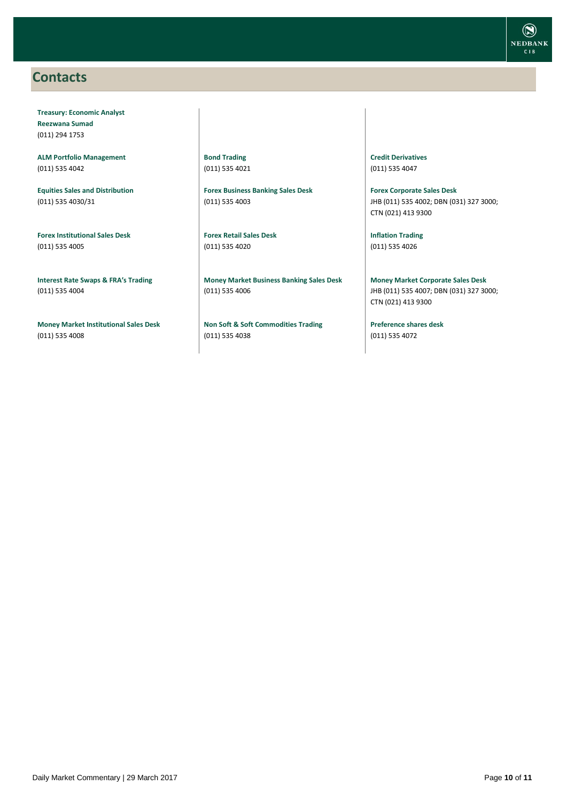### <span id="page-9-0"></span>**Contacts**

**Treasury: Economic Analyst Reezwana Sumad** (011) 294 1753

**ALM Portfolio Management** (011) 535 4042

**Equities Sales and Distribution** (011) 535 4030/31

**Forex Institutional Sales Desk** (011) 535 4005

**Interest Rate Swaps & FRA's Trading** (011) 535 4004

**Money Market Institutional Sales Desk** (011) 535 4008

**Bond Trading** (011) 535 4021

**Forex Business Banking Sales Desk** (011) 535 4003

**Forex Retail Sales Desk** (011) 535 4020

**Money Market Business Banking Sales Desk** (011) 535 4006

**Non Soft & Soft Commodities Trading** (011) 535 4038

**Credit Derivatives**  (011) 535 4047

**Forex Corporate Sales Desk** JHB (011) 535 4002; DBN (031) 327 3000; CTN (021) 413 9300

**Inflation Trading** (011) 535 4026

**Money Market Corporate Sales Desk** JHB (011) 535 4007; DBN (031) 327 3000; CTN (021) 413 9300

**Preference shares desk** (011) 535 4072